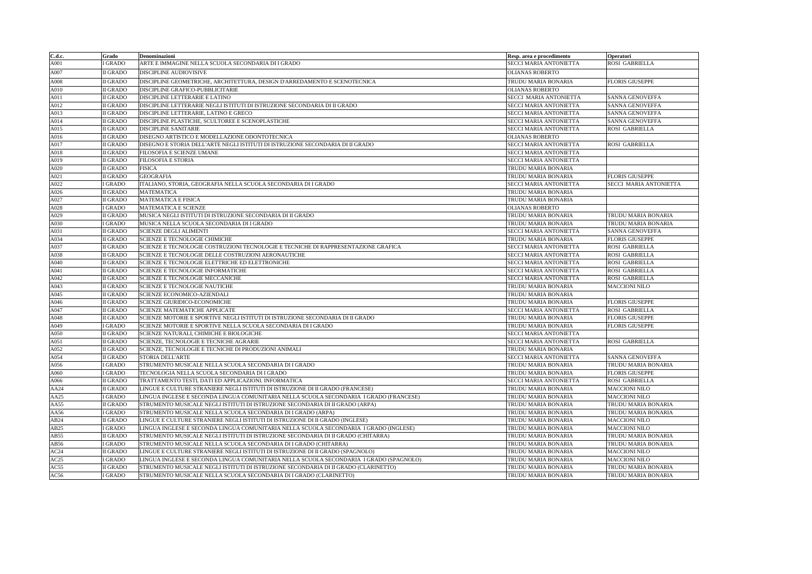| C.d.c. | Grado           | Denominazioni                                                                          | Resp. area e procedimento | Operatori              |
|--------|-----------------|----------------------------------------------------------------------------------------|---------------------------|------------------------|
| A001   | <b>GRADO</b>    | ARTE E IMMAGINE NELLA SCUOLA SECONDARIA DI I GRADO                                     | SECCI MARIA ANTONIETTA    | ROSI GABRIELLA         |
| A007   | <b>II GRADO</b> | DISCIPLINE AUDIOVISIVE                                                                 | <b>OLIANAS ROBERTO</b>    |                        |
| A008   | <b>II GRADO</b> | DISCIPLINE GEOMETRICHE, ARCHITETTURA, DESIGN D'ARREDAMENTO E SCENOTECNICA              | TRUDU MARIA BONARIA       | <b>FLORIS GIUSEPPE</b> |
| A010   | <b>II GRADO</b> | DISCIPLINE GRAFICO-PUBBLICITARIE                                                       | <b>OLIANAS ROBERTO</b>    |                        |
| A011   | <b>II GRADO</b> | DISCIPLINE LETTERARIE E LATINO                                                         | SECCI MARIA ANTONIETTA    | <b>SANNA GENOVEFFA</b> |
| A012   | <b>II GRADO</b> | DISCIPLINE LETTERARIE NEGLI ISTITUTI DI ISTRUZIONE SECONDARIA DI II GRADO              | SECCI MARIA ANTONIETTA    | SANNA GENOVEFFA        |
| A013   | <b>II GRADO</b> | DISCIPLINE LETTERARIE, LATINO E GRECO                                                  | SECCI MARIA ANTONIETTA    | SANNA GENOVEFFA        |
| A014   | <b>II GRADO</b> | DISCIPLINE PLASTICHE, SCULTOREE E SCENOPLASTICHE                                       | SECCI MARIA ANTONIETTA    | SANNA GENOVEFFA        |
| A015   | <b>II GRADO</b> | <b>DISCIPLINE SANITARIE</b>                                                            | SECCI MARIA ANTONIETTA    | ROSI GABRIELLA         |
| A016   | <b>II GRADO</b> | DISEGNO ARTISTICO E MODELLAZIONE ODONTOTECNICA                                         | <b>OLIANAS ROBERTO</b>    |                        |
| A017   | <b>II GRADO</b> | DISEGNO E STORIA DELL'ARTE NEGLI ISTITUTI DI ISTRUZIONE SECONDARIA DI II GRADO         | SECCI MARIA ANTONIETTA    | ROSI GABRIELLA         |
| A018   | <b>II GRADO</b> | FILOSOFIA E SCIENZE UMANE                                                              | SECCI MARIA ANTONIETTA    |                        |
| A019   | <b>II GRADO</b> | <b>FILOSOFIA E STORIA</b>                                                              | SECCI MARIA ANTONIETTA    |                        |
| A020   | <b>II GRADO</b> | <b>FISICA</b>                                                                          | TRUDU MARIA BONARIA       |                        |
| A021   | <b>II GRADO</b> | <b>GEOGRAFIA</b>                                                                       | TRUDU MARIA BONARIA       | <b>FLORIS GIUSEPPE</b> |
| A022   | I GRADO         | ITALIANO, STORIA, GEOGRAFIA NELLA SCUOLA SECONDARIA DI I GRADO                         | SECCI MARIA ANTONIETTA    | SECCI MARIA ANTONIETTA |
| A026   | <b>II GRADO</b> | <b>MATEMATICA</b>                                                                      | TRUDU MARIA BONARIA       |                        |
| A027   | <b>II GRADO</b> | MATEMATICA E FISICA                                                                    | TRUDU MARIA BONARIA       |                        |
| A028   | <b>GRADO</b>    | MATEMATICA E SCIENZE                                                                   | <b>OLIANAS ROBERTO</b>    |                        |
| A029   | <b>II GRADO</b> | MUSICA NEGLI ISTITUTI DI ISTRUZIONE SECONDARIA DI II GRADO                             | TRUDU MARIA BONARIA       | TRUDU MARIA BONARIA    |
| A030   | I GRADO         | MUSICA NELLA SCUOLA SECONDARIA DI I GRADO                                              | TRUDU MARIA BONARIA       | TRUDU MARIA BONARIA    |
| A031   | <b>II GRADO</b> | <b>SCIENZE DEGLI ALIMENTI</b>                                                          | SECCI MARIA ANTONIETTA    | SANNA GENOVEFFA        |
| A034   | <b>II GRADO</b> | SCIENZE E TECNOLOGIE CHIMICHE                                                          | TRUDU MARIA BONARIA       | <b>FLORIS GIUSEPPE</b> |
| A037   | <b>II GRADO</b> | SCIENZE E TECNOLOGIE COSTRUZIONI TECNOLOGIE E TECNICHE DI RAPPRESENTAZIONE GRAFICA     | SECCI MARIA ANTONIETTA    | <b>ROSI GABRIELLA</b>  |
| A038   | <b>II GRADO</b> | SCIENZE E TECNOLOGIE DELLE COSTRUZIONI AERONAUTICHE                                    | SECCI MARIA ANTONIETTA    | ROSI GABRIELLA         |
| A040   | <b>II GRADO</b> | SCIENZE E TECNOLOGIE ELETTRICHE ED ELETTRONICHE                                        | SECCI MARIA ANTONIETTA    | <b>ROSI GABRIELLA</b>  |
| A041   | <b>II GRADO</b> | SCIENZE E TECNOLOGIE INFORMATICHE                                                      | SECCI MARIA ANTONIETTA    | ROSI GABRIELLA         |
| A042   | <b>II GRADO</b> | SCIENZE E TECNOLOGIE MECCANICHE                                                        | SECCI MARIA ANTONIETTA    | <b>ROSI GABRIELLA</b>  |
| A043   | II GRADO        | SCIENZE E TECNOLOGIE NAUTICHE                                                          | TRUDU MARIA BONARIA       | <b>MACCIONI NILO</b>   |
| A045   | <b>II GRADO</b> | <b>SCIENZE ECONOMICO-AZIENDALI</b>                                                     | TRUDU MARIA BONARIA       |                        |
| A046   | <b>II GRADO</b> | SCIENZE GIURIDICO-ECONOMICHE                                                           | TRUDU MARIA BONARIA       | <b>FLORIS GIUSEPPE</b> |
| A047   | <b>II GRADO</b> | SCIENZE MATEMATICHE APPLICATE                                                          | SECCI MARIA ANTONIETTA    | ROSI GABRIELLA         |
| A048   | <b>II GRADO</b> | SCIENZE MOTORIE E SPORTIVE NEGLI ISTITUTI DI ISTRUZIONE SECONDARIA DI II GRADO         | TRUDU MARIA BONARIA       | <b>FLORIS GIUSEPPE</b> |
| A049   | GRADO           | SCIENZE MOTORIE E SPORTIVE NELLA SCUOLA SECONDARIA DI I GRADO                          | TRUDU MARIA BONARIA       | <b>FLORIS GIUSEPPE</b> |
| A050   | <b>II GRADO</b> | SCIENZE NATURALI, CHIMICHE E BIOLOGICHE                                                | SECCI MARIA ANTONIETTA    |                        |
| A051   | <b>II GRADO</b> | SCIENZE, TECNOLOGIE E TECNICHE AGRARIE                                                 | SECCI MARIA ANTONIETTA    | <b>ROSI GABRIELLA</b>  |
| A052   | <b>II GRADO</b> | SCIENZE, TECNOLOGIE E TECNICHE DI PRODUZIONI ANIMALI                                   | TRUDU MARIA BONARIA       |                        |
| A054   | <b>II GRADO</b> | <b>STORIA DELL'ARTE</b>                                                                | SECCI MARIA ANTONIETTA    | SANNA GENOVEFFA        |
| A056   | <b>GRADO</b>    | STRUMENTO MUSICALE NELLA SCUOLA SECONDARIA DI I GRADO                                  | TRUDU MARIA BONARIA       | TRUDU MARIA BONARIA    |
| A060   | I GRADO         | TECNOLOGIA NELLA SCUOLA SECONDARIA DI I GRADO                                          | TRUDU MARIA BONARIA       | <b>FLORIS GIUSEPPE</b> |
| A066   | <b>II GRADO</b> | TRATTAMENTO TESTI, DATI ED APPLICAZIONI. INFORMATICA                                   | SECCI MARIA ANTONIETTA    | ROSI GABRIELLA         |
| AA24   | II GRADO        | LINGUE E CULTURE STRANIERE NEGLI ISTITUTI DI ISTRUZIONE DI II GRADO (FRANCESE)         | TRUDU MARIA BONARIA       | <b>MACCIONI NILO</b>   |
| AA25   | <b>GRADO</b>    | LINGUA INGLESE E SECONDA LINGUA COMUNITARIA NELLA SCUOLA SECONDARIA I GRADO (FRANCESE) | TRUDU MARIA BONARIA       | <b>MACCIONI NILO</b>   |
| AA55   | <b>II GRADO</b> | STRUMENTO MUSICALE NEGLI ISTITUTI DI ISTRUZIONE SECONDARIA DI II GRADO (ARPA)          | TRUDU MARIA BONARIA       | TRUDU MARIA BONARIA    |
| AA56   | GRADO           | STRUMENTO MUSICALE NELLA SCUOLA SECONDARIA DI I GRADO (ARPA)                           | TRUDU MARIA BONARIA       | TRUDU MARIA BONARIA    |
| AB24   | <b>II GRADO</b> | LINGUE E CULTURE STRANIERE NEGLI ISTITUTI DI ISTRUZIONE DI II GRADO (INGLESE)          | TRUDU MARIA BONARIA       | <b>MACCIONI NILO</b>   |
| AB25   | <b>GRADO</b>    | LINGUA INGLESE E SECONDA LINGUA COMUNITARIA NELLA SCUOLA SECONDARIA I GRADO (INGLESE)  | TRUDU MARIA BONARIA       | <b>MACCIONI NILO</b>   |
| AB55   | II GRADO        | STRUMENTO MUSICALE NEGLI ISTITUTI DI ISTRUZIONE SECONDARIA DI II GRADO (CHITARRA)      | TRUDU MARIA BONARIA       | TRUDU MARIA BONARIA    |
| AB56   | <b>GRADO</b>    | STRUMENTO MUSICALE NELLA SCUOLA SECONDARIA DI I GRADO (CHITARRA)                       | TRUDU MARIA BONARIA       | TRUDU MARIA BONARIA    |
| AC24   | II GRADO        | LINGUE E CULTURE STRANIERE NEGLI ISTITUTI DI ISTRUZIONE DI II GRADO (SPAGNOLO)         | TRUDU MARIA BONARIA       | <b>MACCIONI NILO</b>   |
| AC25   | GRADO           | LINGUA INGLESE E SECONDA LINGUA COMUNITARIA NELLA SCUOLA SECONDARIA I GRADO (SPAGNOLO) | TRUDU MARIA BONARIA       | <b>MACCIONI NILO</b>   |
| AC55   | II GRADO        | STRUMENTO MUSICALE NEGLI ISTITUTI DI ISTRUZIONE SECONDARIA DI II GRADO (CLARINETTO)    | TRUDU MARIA BONARIA       | TRUDU MARIA BONARIA    |
| AC56   | <b>GRADO</b>    | STRUMENTO MUSICALE NELLA SCUOLA SECONDARIA DI I GRADO (CLARINETTO)                     | TRUDU MARIA BONARIA       | TRUDU MARIA BONARIA    |